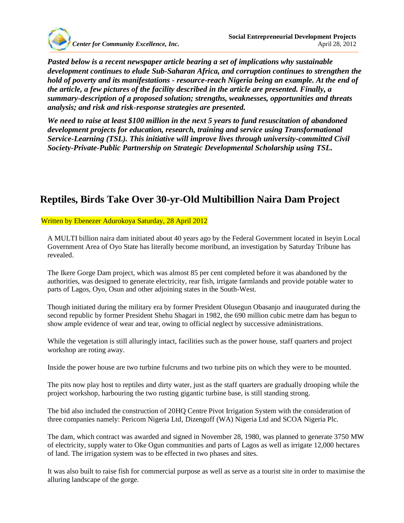

*Pasted below is a recent newspaper article bearing a set of implications why sustainable development continues to elude Sub-Saharan Africa, and corruption continues to strengthen the hold of poverty and its manifestations - resource-reach Nigeria being an example. At the end of the article, a few pictures of the facility described in the article are presented. Finally, a summary-description of a proposed solution; strengths, weaknesses, opportunities and threats analysis; and risk and risk-response strategies are presented.*

*We need to raise at least \$100 million in the next 5 years to fund resuscitation of abandoned development projects for education, research, training and service using Transformational Service-Learning (TSL). This initiative will improve lives through university-committed Civil Society-Private-Public Partnership on Strategic Developmental Scholarship using TSL.*

### **Reptiles, Birds Take Over 30-yr-Old Multibillion Naira Dam Project**

Written by Ebenezer Adurokoya Saturday, 28 April 2012

A MULTI billion naira dam initiated about 40 years ago by the Federal Government located in Iseyin Local Government Area of Oyo State has literally become moribund, an investigation by Saturday Tribune has revealed.

The Ikere Gorge Dam project, which was almost 85 per cent completed before it was abandoned by the authorities, was designed to generate electricity, rear fish, irrigate farmlands and provide potable water to parts of Lagos, Oyo, Osun and other adjoining states in the South-West.

Though initiated during the military era by former President Olusegun Obasanjo and inaugurated during the second republic by former President Shehu Shagari in 1982, the 690 million cubic metre dam has begun to show ample evidence of wear and tear, owing to official neglect by successive administrations.

While the vegetation is still alluringly intact, facilities such as the power house, staff quarters and project workshop are roting away.

Inside the power house are two turbine fulcrums and two turbine pits on which they were to be mounted.

The pits now play host to reptiles and dirty water, just as the staff quarters are gradually drooping while the project workshop, harbouring the two rusting gigantic turbine base, is still standing strong.

The bid also included the construction of 20HQ Centre Pivot Irrigation System with the consideration of three companies namely: Pericom Nigeria Ltd, Dizengoff (WA) Nigeria Ltd and SCOA Nigeria Plc.

The dam, which contract was awarded and signed in November 28, 1980, was planned to generate 3750 MW of electricity, supply water to Oke Ogun communities and parts of Lagos as well as irrigate 12,000 hectares of land. The irrigation system was to be effected in two phases and sites.

It was also built to raise fish for commercial purpose as well as serve as a tourist site in order to maximise the alluring landscape of the gorge.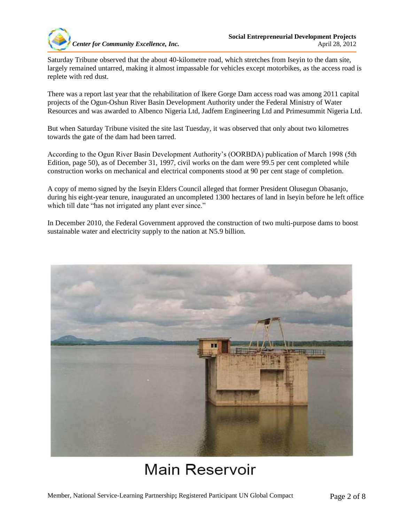

Saturday Tribune observed that the about 40-kilometre road, which stretches from Iseyin to the dam site, largely remained untarred, making it almost impassable for vehicles except motorbikes, as the access road is replete with red dust.

There was a report last year that the rehabilitation of Ikere Gorge Dam access road was among 2011 capital projects of the Ogun-Oshun River Basin Development Authority under the Federal Ministry of Water Resources and was awarded to Albenco Nigeria Ltd, Jadfem Engineering Ltd and Primesummit Nigeria Ltd.

But when Saturday Tribune visited the site last Tuesday, it was observed that only about two kilometres towards the gate of the dam had been tarred.

According to the Ogun River Basin Development Authority's (OORBDA) publication of March 1998 (5th Edition, page 50), as of December 31, 1997, civil works on the dam were 99.5 per cent completed while construction works on mechanical and electrical components stood at 90 per cent stage of completion.

A copy of memo signed by the Iseyin Elders Council alleged that former President Olusegun Obasanjo, during his eight-year tenure, inaugurated an uncompleted 1300 hectares of land in Iseyin before he left office which till date "has not irrigated any plant ever since."

In December 2010, the Federal Government approved the construction of two multi-purpose dams to boost sustainable water and electricity supply to the nation at N5.9 billion.



## **Main Reservoir**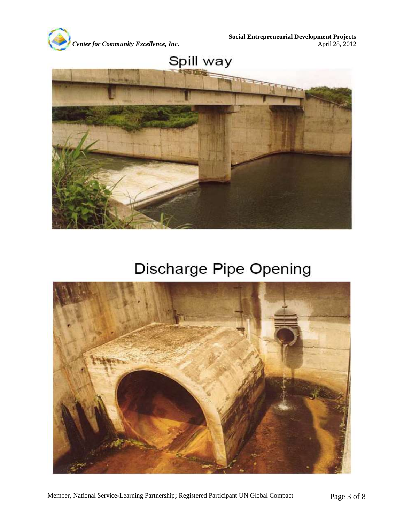



## Discharge Pipe Opening

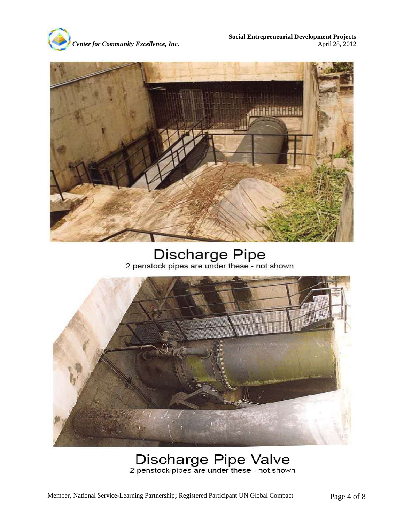



Discharge Pipe<br>2 penstock pipes are under these - not shown



# Discharge Pipe Valve<br>2 penstock pipes are under these - not shown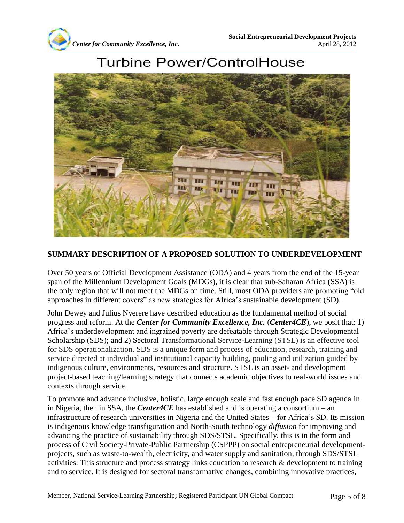



### **Turbine Power/ControlHouse**

#### **SUMMARY DESCRIPTION OF A PROPOSED SOLUTION TO UNDERDEVELOPMENT**

Over 50 years of Official Development Assistance (ODA) and 4 years from the end of the 15-year span of the Millennium Development Goals (MDGs), it is clear that sub-Saharan Africa (SSA) is the only region that will not meet the MDGs on time. Still, most ODA providers are promoting "old approaches in different covers" as new strategies for Africa's sustainable development (SD).

John Dewey and Julius Nyerere have described education as the fundamental method of social progress and reform. At the *Center for Community Excellence, Inc.* (*Center4CE*), we posit that: 1) Africa's underdevelopment and ingrained poverty are defeatable through Strategic Developmental Scholarship (SDS); and 2) Sectoral Transformational Service-Learning (STSL) is an effective tool for SDS operationalization. SDS is a unique form and process of education, research, training and service directed at individual and institutional capacity building, pooling and utilization guided by indigenous culture, environments, resources and structure. STSL is an asset- and development project-based teaching/learning strategy that connects academic objectives to real-world issues and contexts through service.

To promote and advance inclusive, holistic, large enough scale and fast enough pace SD agenda in in Nigeria, then in SSA, the *Center4CE* has established and is operating a consortium – an infrastructure of research universities in Nigeria and the United States – for Africa's SD. Its mission is indigenous knowledge transfiguration and North-South technology *diffusion* for improving and advancing the practice of sustainability through SDS/STSL. Specifically, this is in the form and process of Civil Society-Private-Public Partnership (CSPPP) on social entrepreneurial developmentprojects, such as waste-to-wealth, electricity, and water supply and sanitation, through SDS/STSL activities. This structure and process strategy links education to research & development to training and to service. It is designed for sectoral transformative changes, combining innovative practices,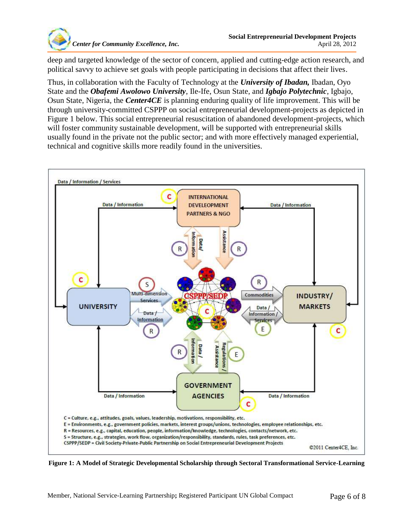

deep and targeted knowledge of the sector of concern, applied and cutting-edge action research, and political savvy to achieve set goals with people participating in decisions that affect their lives.

Thus, in collaboration with the Faculty of Technology at the *University of Ibadan,* Ibadan, Oyo State and the *Obafemi Awolowo University*, Ile-Ife, Osun State, and *Igbajo Polytechnic*, Igbajo, Osun State, Nigeria, the *Center4CE* is planning enduring quality of life improvement. This will be through university-committed CSPPP on social entrepreneurial development-projects as depicted in Figure 1 below. This social entrepreneurial resuscitation of abandoned development-projects, which will foster community sustainable development, will be supported with entrepreneurial skills usually found in the private not the public sector; and with more effectively managed experiential, technical and cognitive skills more readily found in the universities.



**Figure 1: A Model of Strategic Developmental Scholarship through Sectoral Transformational Service-Learning**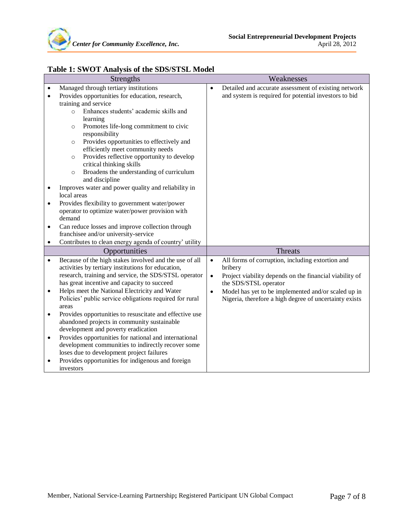

| <b>Strengths</b> |                                                                                   | Weaknesses                                                           |  |  |
|------------------|-----------------------------------------------------------------------------------|----------------------------------------------------------------------|--|--|
| $\bullet$        | Managed through tertiary institutions                                             | Detailed and accurate assessment of existing network<br>$\bullet$    |  |  |
| $\bullet$        | Provides opportunities for education, research,                                   | and system is required for potential investors to bid                |  |  |
|                  | training and service                                                              |                                                                      |  |  |
|                  | Enhances students' academic skills and<br>$\circ$                                 |                                                                      |  |  |
|                  | learning                                                                          |                                                                      |  |  |
|                  | Promotes life-long commitment to civic<br>$\circ$                                 |                                                                      |  |  |
|                  | responsibility                                                                    |                                                                      |  |  |
|                  | Provides opportunities to effectively and<br>$\circ$                              |                                                                      |  |  |
|                  | efficiently meet community needs                                                  |                                                                      |  |  |
|                  | Provides reflective opportunity to develop<br>$\circ$<br>critical thinking skills |                                                                      |  |  |
|                  | Broadens the understanding of curriculum<br>$\circ$                               |                                                                      |  |  |
|                  | and discipline                                                                    |                                                                      |  |  |
| $\bullet$        | Improves water and power quality and reliability in                               |                                                                      |  |  |
|                  | local areas                                                                       |                                                                      |  |  |
| ٠                | Provides flexibility to government water/power                                    |                                                                      |  |  |
|                  | operator to optimize water/power provision with                                   |                                                                      |  |  |
|                  | demand                                                                            |                                                                      |  |  |
| $\bullet$        | Can reduce losses and improve collection through                                  |                                                                      |  |  |
|                  | franchisee and/or university-service                                              |                                                                      |  |  |
| $\bullet$        | Contributes to clean energy agenda of country' utility                            |                                                                      |  |  |
|                  | Opportunities                                                                     | Threats                                                              |  |  |
| $\bullet$        | Because of the high stakes involved and the use of all                            | All forms of corruption, including extortion and<br>$\bullet$        |  |  |
|                  | activities by tertiary institutions for education,                                | bribery                                                              |  |  |
|                  | research, training and service, the SDS/STSL operator                             | Project viability depends on the financial viability of<br>$\bullet$ |  |  |
|                  | has great incentive and capacity to succeed                                       | the SDS/STSL operator                                                |  |  |
| $\bullet$        | Helps meet the National Electricity and Water                                     | Model has yet to be implemented and/or scaled up in<br>$\bullet$     |  |  |
|                  | Policies' public service obligations required for rural<br>areas                  | Nigeria, therefore a high degree of uncertainty exists               |  |  |
| $\bullet$        | Provides opportunities to resuscitate and effective use                           |                                                                      |  |  |
|                  | abandoned projects in community sustainable                                       |                                                                      |  |  |
|                  | development and poverty eradication                                               |                                                                      |  |  |
| $\bullet$        | Provides opportunities for national and international                             |                                                                      |  |  |
|                  | development communities to indirectly recover some                                |                                                                      |  |  |
|                  | loses due to development project failures                                         |                                                                      |  |  |
| ٠                | Provides opportunities for indigenous and foreign                                 |                                                                      |  |  |
|                  | investors                                                                         |                                                                      |  |  |

### **Table 1: SWOT Analysis of the SDS/STSL Model**